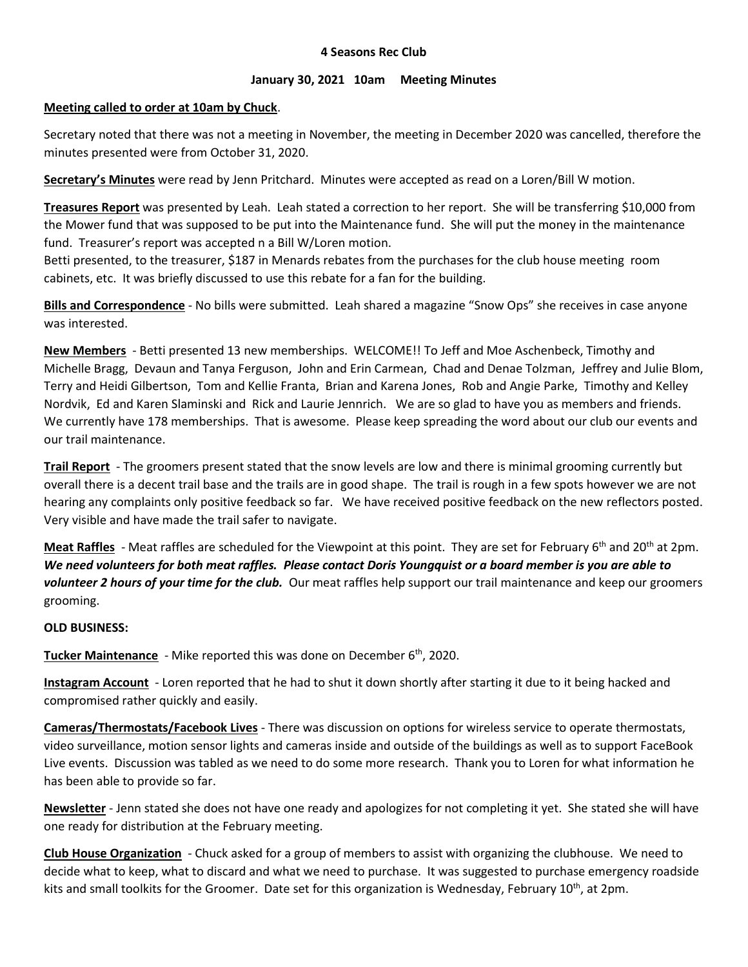# **4 Seasons Rec Club**

# **January 30, 2021 10am Meeting Minutes**

# **Meeting called to order at 10am by Chuck**.

Secretary noted that there was not a meeting in November, the meeting in December 2020 was cancelled, therefore the minutes presented were from October 31, 2020.

**Secretary's Minutes** were read by Jenn Pritchard. Minutes were accepted as read on a Loren/Bill W motion.

**Treasures Report** was presented by Leah. Leah stated a correction to her report. She will be transferring \$10,000 from the Mower fund that was supposed to be put into the Maintenance fund. She will put the money in the maintenance fund. Treasurer's report was accepted n a Bill W/Loren motion.

Betti presented, to the treasurer, \$187 in Menards rebates from the purchases for the club house meeting room cabinets, etc. It was briefly discussed to use this rebate for a fan for the building.

**Bills and Correspondence** - No bills were submitted. Leah shared a magazine "Snow Ops" she receives in case anyone was interested.

**New Members** - Betti presented 13 new memberships. WELCOME!! To Jeff and Moe Aschenbeck, Timothy and Michelle Bragg, Devaun and Tanya Ferguson, John and Erin Carmean, Chad and Denae Tolzman, Jeffrey and Julie Blom, Terry and Heidi Gilbertson, Tom and Kellie Franta, Brian and Karena Jones, Rob and Angie Parke, Timothy and Kelley Nordvik, Ed and Karen Slaminski and Rick and Laurie Jennrich. We are so glad to have you as members and friends. We currently have 178 memberships. That is awesome. Please keep spreading the word about our club our events and our trail maintenance.

**Trail Report** - The groomers present stated that the snow levels are low and there is minimal grooming currently but overall there is a decent trail base and the trails are in good shape. The trail is rough in a few spots however we are not hearing any complaints only positive feedback so far. We have received positive feedback on the new reflectors posted. Very visible and have made the trail safer to navigate.

**Meat Raffles** - Meat raffles are scheduled for the Viewpoint at this point. They are set for February 6<sup>th</sup> and 20<sup>th</sup> at 2pm. *We need volunteers for both meat raffles. Please contact Doris Youngquist or a board member is you are able to volunteer 2 hours of your time for the club.* Our meat raffles help support our trail maintenance and keep our groomers grooming.

# **OLD BUSINESS:**

**Tucker Maintenance** - Mike reported this was done on December 6 th, 2020.

**Instagram Account** - Loren reported that he had to shut it down shortly after starting it due to it being hacked and compromised rather quickly and easily.

**Cameras/Thermostats/Facebook Lives** - There was discussion on options for wireless service to operate thermostats, video surveillance, motion sensor lights and cameras inside and outside of the buildings as well as to support FaceBook Live events. Discussion was tabled as we need to do some more research. Thank you to Loren for what information he has been able to provide so far.

**Newsletter** - Jenn stated she does not have one ready and apologizes for not completing it yet. She stated she will have one ready for distribution at the February meeting.

**Club House Organization** - Chuck asked for a group of members to assist with organizing the clubhouse. We need to decide what to keep, what to discard and what we need to purchase. It was suggested to purchase emergency roadside kits and small toolkits for the Groomer. Date set for this organization is Wednesday, February  $10^{th}$ , at 2pm.